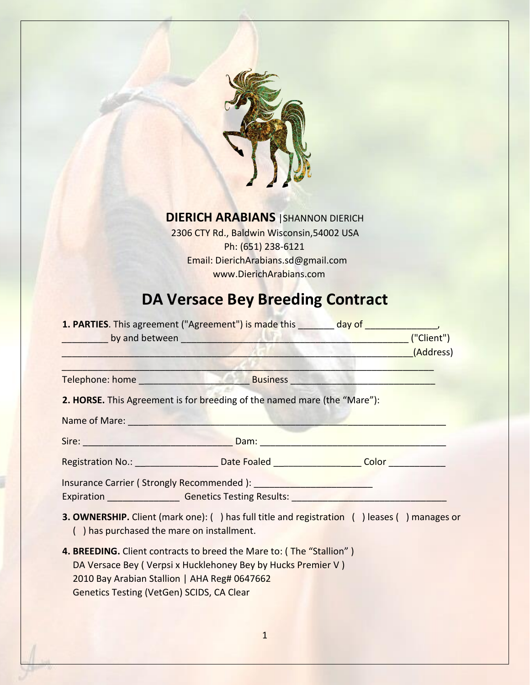

## **DIERICH ARABIANS** |SHANNON DIERICH

2306 CTY Rd., Baldwin Wisconsin,54002 USA Ph: (651) 238-6121 Email: DierichArabians.sd@gmail.com www.DierichArabians.com

# **DA Versace Bey Breeding Contract**

|                                                  | <b>1. PARTIES</b> . This agreement ("Agreement") is made this day of day of the same of the same of the same of the same of the same of the same of the same of the same of the same of the same of the same of the same of the same |           |
|--------------------------------------------------|--------------------------------------------------------------------------------------------------------------------------------------------------------------------------------------------------------------------------------------|-----------|
|                                                  |                                                                                                                                                                                                                                      |           |
|                                                  |                                                                                                                                                                                                                                      | (Address) |
|                                                  |                                                                                                                                                                                                                                      |           |
|                                                  |                                                                                                                                                                                                                                      |           |
|                                                  | 2. HORSE. This Agreement is for breeding of the named mare (the "Mare"):                                                                                                                                                             |           |
|                                                  | Name of Mare: Name of Mare:                                                                                                                                                                                                          |           |
|                                                  | Sire: <u>New York: New York: New York: New York: New York: New York: New York: New York: New York: New York: New York: New York: New York: New York: New York: New York: New York: New York: New York: New York: New York: New Y</u> |           |
|                                                  | Registration No.: ______________________Date Foaled _____________________Color _____________________                                                                                                                                 |           |
|                                                  | Insurance Carrier (Strongly Recommended): <u>[1988]</u>                                                                                                                                                                              |           |
|                                                  | Expiration Committee Connection Centeries Testing Results:                                                                                                                                                                           |           |
| () has purchased the mare on installment.        | <b>3. OWNERSHIP.</b> Client (mark one): () has full title and registration () leases () manages or                                                                                                                                   |           |
|                                                  | 4. BREEDING. Client contracts to breed the Mare to: (The "Stallion")                                                                                                                                                                 |           |
|                                                  | DA Versace Bey (Verpsi x Hucklehoney Bey by Hucks Premier V)                                                                                                                                                                         |           |
| 2010 Bay Arabian Stallion   AHA Reg# 0647662     |                                                                                                                                                                                                                                      |           |
| <b>Genetics Testing (VetGen) SCIDS, CA Clear</b> |                                                                                                                                                                                                                                      |           |
|                                                  |                                                                                                                                                                                                                                      |           |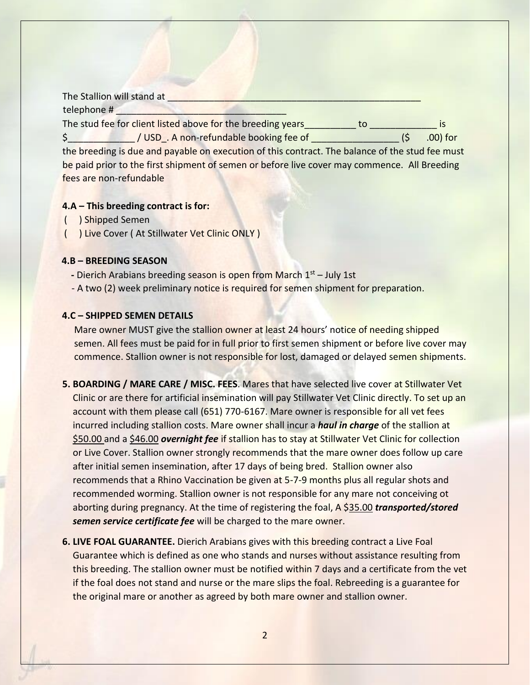The Stallion will stand at telephone # The stud fee for client listed above for the breeding years\_\_\_\_\_\_\_\_\_ to \_\_\_\_\_\_\_\_\_\_\_\_\_\_\_ is  $\frac{1}{2}$  / USD . A non-refundable booking fee of  $(5 \quad .00)$  for the breeding is due and payable on execution of this contract. The balance of the stud fee must be paid prior to the first shipment of semen or before live cover may commence. All Breeding fees are non-refundable

### **4.A – This breeding contract is for:**

- ( ) Shipped Semen
- ( ) Live Cover ( At Stillwater Vet Clinic ONLY )

#### **4.B – BREEDING SEASON**

- **-** Dierich Arabians breeding season is open from March 1<sup>st</sup> July 1st
- A two (2) week preliminary notice is required for semen shipment for preparation.

#### **4.C – SHIPPED SEMEN DETAILS**

 Mare owner MUST give the stallion owner at least 24 hours' notice of needing shipped semen. All fees must be paid for in full prior to first semen shipment or before live cover may commence. Stallion owner is not responsible for lost, damaged or delayed semen shipments.

- **5. BOARDING / MARE CARE / MISC. FEES**. Mares that have selected live cover at Stillwater Vet Clinic or are there for artificial insemination will pay Stillwater Vet Clinic directly. To set up an account with them please call (651) 770-6167. Mare owner is responsible for all vet fees incurred including stallion costs. Mare owner shall incur a *haul in charge* of the stallion at \$50.00 and a \$46.00 *overnight fee* if stallion has to stay at Stillwater Vet Clinic for collection or Live Cover. Stallion owner strongly recommends that the mare owner does follow up care after initial semen insemination, after 17 days of being bred. Stallion owner also recommends that a Rhino Vaccination be given at 5-7-9 months plus all regular shots and recommended worming. Stallion owner is not responsible for any mare not conceiving ot aborting during pregnancy. At the time of registering the foal, A \$35.00 *transported/stored semen service certificate fee* will be charged to the mare owner.
- **6. LIVE FOAL GUARANTEE.** Dierich Arabians gives with this breeding contract a Live Foal Guarantee which is defined as one who stands and nurses without assistance resulting from this breeding. The stallion owner must be notified within 7 days and a certificate from the vet if the foal does not stand and nurse or the mare slips the foal. Rebreeding is a guarantee for the original mare or another as agreed by both mare owner and stallion owner.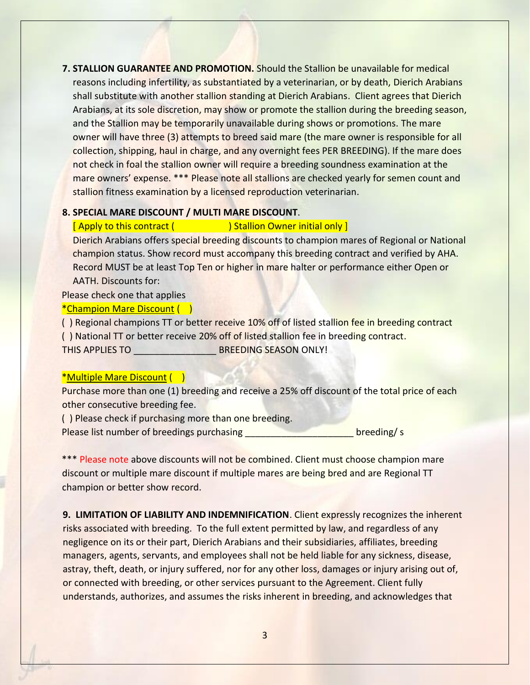**7. STALLION GUARANTEE AND PROMOTION.** Should the Stallion be unavailable for medical reasons including infertility, as substantiated by a veterinarian, or by death, Dierich Arabians shall substitute with another stallion standing at Dierich Arabians. Client agrees that Dierich Arabians, at its sole discretion, may show or promote the stallion during the breeding season, and the Stallion may be temporarily unavailable during shows or promotions. The mare owner will have three (3) attempts to breed said mare (the mare owner is responsible for all collection, shipping, haul in charge, and any overnight fees PER BREEDING). If the mare does not check in foal the stallion owner will require a breeding soundness examination at the mare owners' expense. \*\*\* Please note all stallions are checked yearly for semen count and stallion fitness examination by a licensed reproduction veterinarian.

#### **8. SPECIAL MARE DISCOUNT / MULTI MARE DISCOUNT**.

#### [ Apply to this contract ( ) Stallion Owner initial only ]

Dierich Arabians offers special breeding discounts to champion mares of Regional or National champion status. Show record must accompany this breeding contract and verified by AHA. Record MUST be at least Top Ten or higher in mare halter or performance either Open or AATH. Discounts for:

Please check one that applies

#### \*Champion Mare Discount ( )

() Regional champions TT or better receive 10% off of listed stallion fee in breeding contract ( ) National TT or better receive 20% off of listed stallion fee in breeding contract. THIS APPLIES TO **EXECUTE BREEDING SEASON ONLY!** 

#### \*Multiple Mare Discount ( )

Purchase more than one (1) breeding and receive a 25% off discount of the total price of each other consecutive breeding fee.

( ) Please check if purchasing more than one breeding.

Please list number of breedings purchasing **Example 20 and Series 10 and Series 20 and Series 20 and Series 20 and S** 

\*\*\* Please note above discounts will not be combined. Client must choose champion mare discount or multiple mare discount if multiple mares are being bred and are Regional TT champion or better show record.

**9. LIMITATION OF LIABILITY AND INDEMNIFICATION**. Client expressly recognizes the inherent risks associated with breeding. To the full extent permitted by law, and regardless of any negligence on its or their part, Dierich Arabians and their subsidiaries, affiliates, breeding managers, agents, servants, and employees shall not be held liable for any sickness, disease, astray, theft, death, or injury suffered, nor for any other loss, damages or injury arising out of, or connected with breeding, or other services pursuant to the Agreement. Client fully understands, authorizes, and assumes the risks inherent in breeding, and acknowledges that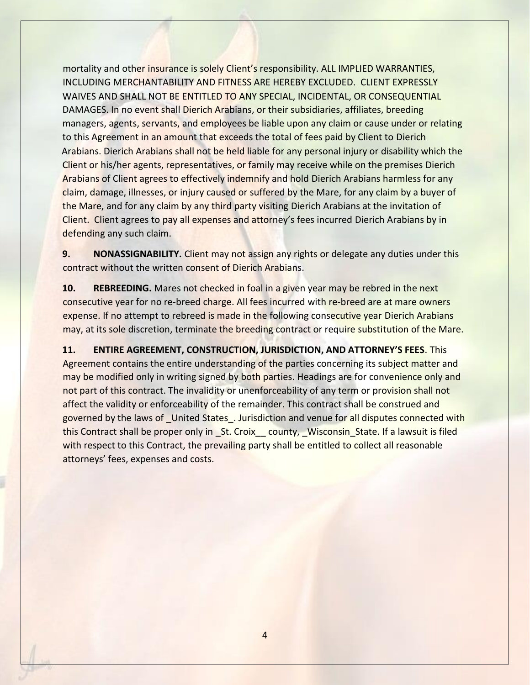mortality and other insurance is solely Client's responsibility. ALL IMPLIED WARRANTIES, INCLUDING MERCHANTABILITY AND FITNESS ARE HEREBY EXCLUDED. CLIENT EXPRESSLY WAIVES AND SHALL NOT BE ENTITLED TO ANY SPECIAL, INCIDENTAL, OR CONSEQUENTIAL DAMAGES. In no event shall Dierich Arabians, or their subsidiaries, affiliates, breeding managers, agents, servants, and employees be liable upon any claim or cause under or relating to this Agreement in an amount that exceeds the total of fees paid by Client to Dierich Arabians. Dierich Arabians shall not be held liable for any personal injury or disability which the Client or his/her agents, representatives, or family may receive while on the premises Dierich Arabians of Client agrees to effectively indemnify and hold Dierich Arabians harmless for any claim, damage, illnesses, or injury caused or suffered by the Mare, for any claim by a buyer of the Mare, and for any claim by any third party visiting Dierich Arabians at the invitation of Client. Client agrees to pay all expenses and attorney's fees incurred Dierich Arabians by in defending any such claim.

**9. NONASSIGNABILITY.** Client may not assign any rights or delegate any duties under this contract without the written consent of Dierich Arabians.

**10. REBREEDING.** Mares not checked in foal in a given year may be rebred in the next consecutive year for no re-breed charge. All fees incurred with re-breed are at mare owners expense. If no attempt to rebreed is made in the following consecutive year Dierich Arabians may, at its sole discretion, terminate the breeding contract or require substitution of the Mare.

**11. ENTIRE AGREEMENT, CONSTRUCTION, JURISDICTION, AND ATTORNEY'S FEES**. This Agreement contains the entire understanding of the parties concerning its subject matter and may be modified only in writing signed by both parties. Headings are for convenience only and not part of this contract. The invalidity or unenforceability of any term or provision shall not affect the validity or enforceability of the remainder. This contract shall be construed and governed by the laws of \_United States\_. Jurisdiction and venue for all disputes connected with this Contract shall be proper only in \_St. Croix\_\_ county, \_Wisconsin\_State. If a lawsuit is filed with respect to this Contract, the prevailing party shall be entitled to collect all reasonable attorneys' fees, expenses and costs.